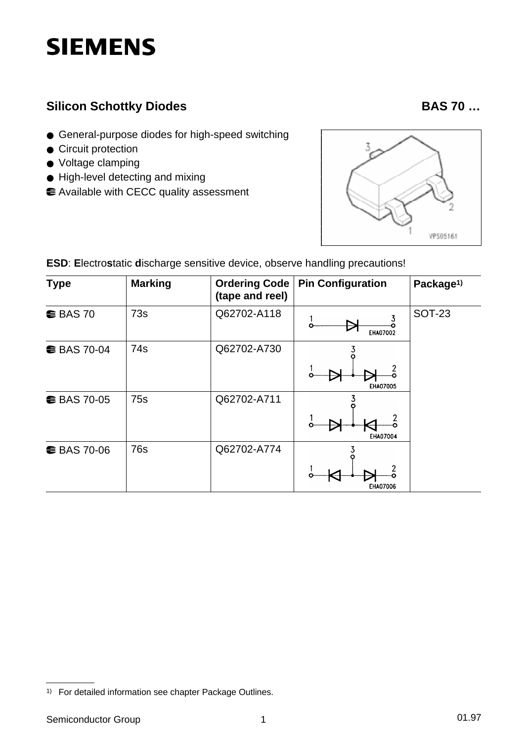# **SIEMENS**

### **Silicon Schottky Diodes BAS 70 …**

- General-purpose diodes for high-speed switching
- Circuit protection
- Voltage clamping
- High-level detecting and mixing
- Available with CECC quality assessment



| <b>Type</b>        | <b>Marking</b>  | <b>Ordering Code</b><br>(tape and reel) | <b>Pin Configuration</b> | Package <sup>1)</sup> |
|--------------------|-----------------|-----------------------------------------|--------------------------|-----------------------|
| $\bullet$ BAS 70   | 73s             | Q62702-A118                             | <b>EHA07002</b>          | <b>SOT-23</b>         |
| <b>€ BAS 70-04</b> | 74 <sub>S</sub> | Q62702-A730                             | <b>EHA07005</b>          |                       |
| <b>€ BAS 70-05</b> | 75s             | Q62702-A711                             | EHA07004                 |                       |
| <b>€ BAS 70-06</b> | 76s             | Q62702-A774                             | <b>EHA07006</b>          |                       |

**ESD**: **E**lectro**s**tatic **d**ischarge sensitive device, observe handling precautions!

<sup>1)</sup> For detailed information see chapter Package Outlines.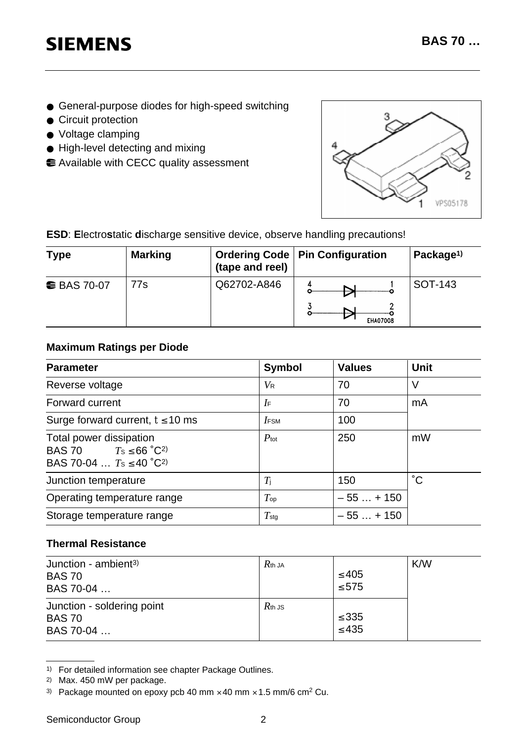## **SIEMENS**

- General-purpose diodes for high-speed switching
- Circuit protection
- Voltage clamping
- High-level detecting and mixing
- Available with CECC quality assessment



**ESD**: **E**lectro**s**tatic **d**ischarge sensitive device, observe handling precautions!

| <b>Type</b>        | <b>Marking</b> | (tape and reel) | <b>Ordering Code   Pin Configuration</b> | Package <sup>1)</sup> |  |
|--------------------|----------------|-----------------|------------------------------------------|-----------------------|--|
| <b>€ BAS 70-07</b> | 77s            | Q62702-A846     | <b>EHA07008</b>                          | SOT-143               |  |

#### **Maximum Ratings per Diode**

| <b>Parameter</b>                                                                                          | <b>Symbol</b>      | <b>Values</b> | <b>Unit</b>  |  |
|-----------------------------------------------------------------------------------------------------------|--------------------|---------------|--------------|--|
| Reverse voltage                                                                                           | $V_{\mathsf{R}}$   | 70            | V            |  |
| <b>Forward current</b>                                                                                    | $I_{\mathsf{F}}$   | 70            | mA           |  |
| Surge forward current, $t \leq 10$ ms                                                                     | $I$ <sub>FSM</sub> | 100           |              |  |
| Total power dissipation<br><b>BAS 70</b> $T_s \le 66^{\circ}C^{2}$<br>BAS 70-04 $T_s \le 40^{\circ}C^{2}$ | $P_{\text{tot}}$   | 250           | mW           |  |
| Junction temperature                                                                                      | $T_{\rm i}$        | 150           | $^{\circ}$ C |  |
| Operating temperature range                                                                               | $T_{\mathsf{op}}$  | $-55+150$     |              |  |
| Storage temperature range                                                                                 | $T_{\text{stg}}$   | $-55+150$     |              |  |

#### **Thermal Resistance**

| Junction - ambient <sup>3)</sup><br><b>BAS 70</b><br>BAS 70-04 | $R$ th JA | $\leq 405$<br>$\leq 575$ | K/W |
|----------------------------------------------------------------|-----------|--------------------------|-----|
| Junction - soldering point<br><b>BAS 70</b><br>BAS 70-04       | $R$ th JS | $\leq$ 335<br>$\leq 435$ |     |

<sup>1)</sup> For detailed information see chapter Package Outlines.

<sup>2)</sup> Max. 450 mW per package.

<sup>3)</sup> Package mounted on epoxy pcb 40 mm  $\times$  40 mm  $\times$  1.5 mm/6 cm<sup>2</sup> Cu.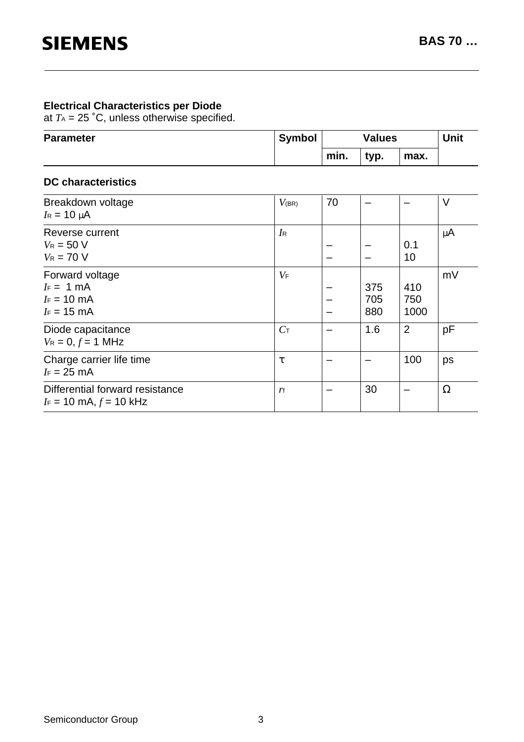#### **Electrical Characteristics per Diode**

at  $T_A$  = 25 °C, unless otherwise specified.

| <b>Parameter</b> | <b>Symbol</b> | <b>Values</b> |      | <b>Unit</b> |  |
|------------------|---------------|---------------|------|-------------|--|
|                  |               | min.          | typ. | max.        |  |

#### **DC characteristics**

| Breakdown voltage<br>$I_R = 10 \mu A$                                        | $V_{(BR)}$       | 70 |                   |                    | $\vee$   |
|------------------------------------------------------------------------------|------------------|----|-------------------|--------------------|----------|
| Reverse current<br>$V_R = 50 V$<br>$V_R = 70 V$                              | $I_{\mathsf{R}}$ |    |                   | 0.1<br>10          | $\mu$ A  |
| Forward voltage<br>$I_F = 1$ mA<br>$I_F = 10$ mA<br>$I_F = 15$ mA            | $V_{\mathsf{F}}$ |    | 375<br>705<br>880 | 410<br>750<br>1000 | mV       |
| Diode capacitance<br>$V_R = 0, f = 1$ MHz                                    | $C_{\text{T}}$   |    | 1.6               | 2                  | pF       |
| Charge carrier life time<br>$I_F = 25$ mA                                    | τ                |    |                   | 100                | ps       |
| Differential forward resistance<br>$I_F = 10 \text{ mA}, f = 10 \text{ kHz}$ | ľf               |    | 30                |                    | $\Omega$ |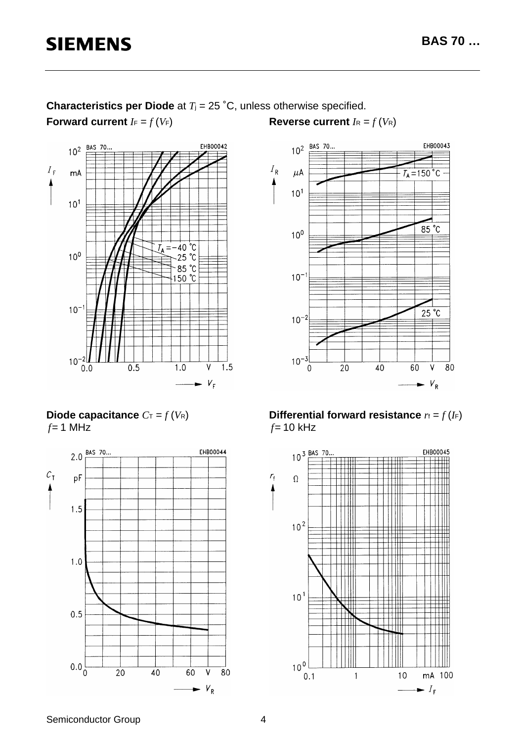

**Characteristics per Diode** at *T*j = 25 ˚C, unless otherwise specified.

**Reverse current**  $I_R = f(V_R)$ 



**Diode capacitance**  $C_T = f(V_R)$ *f*= 1 MHz



**Differential forward resistance**  $r_f = f(I_F)$ *f*= 10 kHz